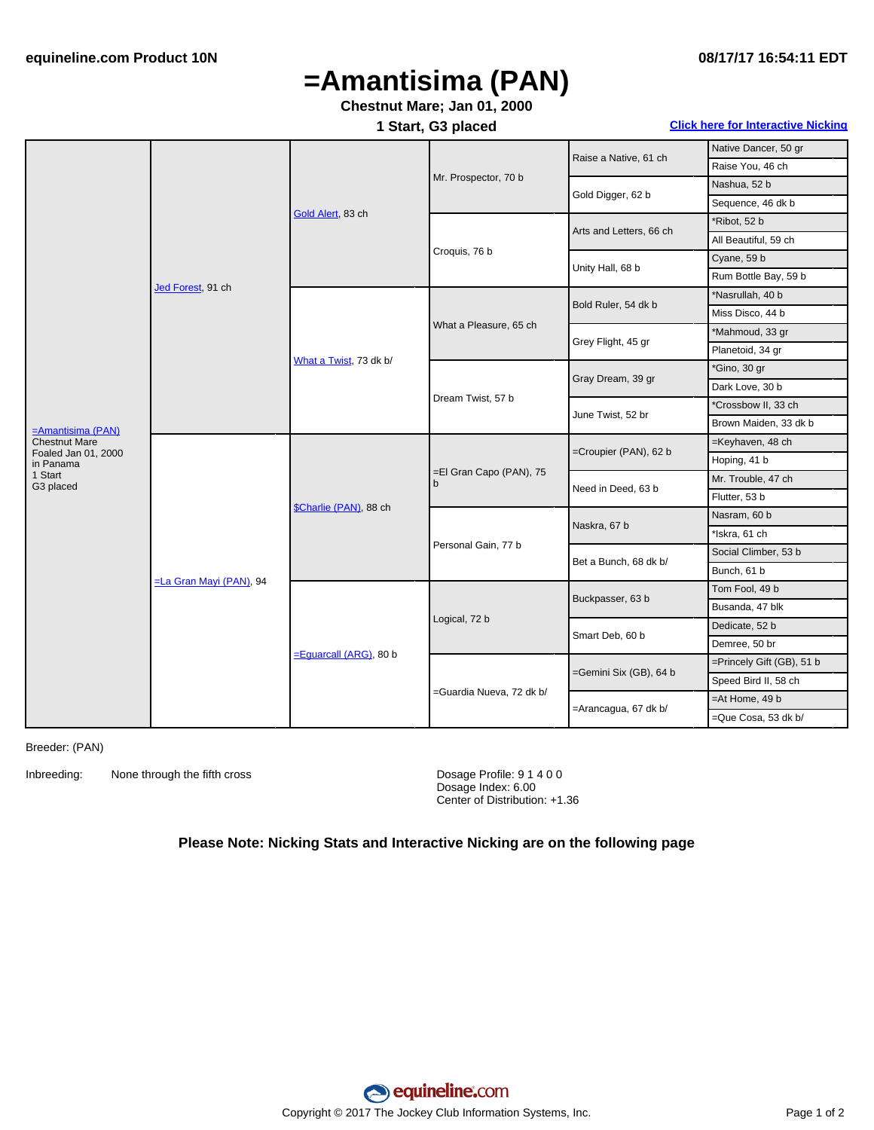# **=Amantisima (PAN)**

### **Chestnut Mare; Jan 01, 2000**

**1 Start, G3 placed Click here for [Interactive](#page-1-0) Nicking**

|                                  | Jed Forest, 91 ch               | Gold Alert, 83 ch         | Mr. Prospector, 70 b         | Raise a Native, 61 ch   | Native Dancer, 50 gr      |
|----------------------------------|---------------------------------|---------------------------|------------------------------|-------------------------|---------------------------|
|                                  |                                 |                           |                              |                         | Raise You, 46 ch          |
|                                  |                                 |                           |                              | Gold Digger, 62 b       | Nashua, 52 b              |
|                                  |                                 |                           |                              |                         | Sequence, 46 dk b         |
|                                  |                                 |                           | Croquis, 76 b                | Arts and Letters, 66 ch | *Ribot, 52 b              |
|                                  |                                 |                           |                              |                         | All Beautiful, 59 ch      |
|                                  |                                 |                           |                              | Unity Hall, 68 b        | Cyane, 59 b               |
|                                  |                                 |                           |                              |                         | Rum Bottle Bay, 59 b      |
|                                  |                                 | What a Twist, 73 dk b/    | What a Pleasure, 65 ch       | Bold Ruler, 54 dk b     | *Nasrullah, 40 b          |
|                                  |                                 |                           |                              |                         | Miss Disco, 44 b          |
|                                  |                                 |                           |                              | Grey Flight, 45 gr      | *Mahmoud, 33 gr           |
|                                  |                                 |                           |                              |                         | Planetoid, 34 gr          |
|                                  |                                 |                           | Dream Twist, 57 b            | Gray Dream, 39 gr       | *Gino, 30 gr              |
|                                  |                                 |                           |                              |                         | Dark Love, 30 b           |
| =Amantisima (PAN)                |                                 |                           |                              | June Twist, 52 br       | *Crossbow II, 33 ch       |
|                                  |                                 |                           |                              |                         | Brown Maiden, 33 dk b     |
| <b>Chestnut Mare</b>             | <b>ELa Gran Mayi (PAN)</b> , 94 | \$Charlie (PAN), 88 ch    | =El Gran Capo (PAN), 75<br>b | =Croupier (PAN), 62 b   | =Keyhaven, 48 ch          |
| Foaled Jan 01, 2000<br>in Panama |                                 |                           |                              |                         | Hoping, 41 b              |
| 1 Start<br>G3 placed             |                                 |                           |                              | Need in Deed, 63 b      | Mr. Trouble, 47 ch        |
|                                  |                                 |                           |                              |                         | Flutter, 53 b             |
|                                  |                                 |                           | Personal Gain, 77 b          | Naskra, 67 b            | Nasram, 60 b              |
|                                  |                                 |                           |                              |                         | *Iskra, 61 ch             |
|                                  |                                 |                           |                              | Bet a Bunch, 68 dk b/   | Social Climber, 53 b      |
|                                  |                                 |                           |                              |                         | Bunch, 61 b               |
|                                  |                                 | $=$ Equarcall (ARG), 80 b | Logical, 72 b                | Buckpasser, 63 b        | Tom Fool, 49 b            |
|                                  |                                 |                           |                              |                         | Busanda, 47 blk           |
|                                  |                                 |                           |                              | Smart Deb, 60 b         | Dedicate, 52 b            |
|                                  |                                 |                           |                              |                         | Demree, 50 br             |
|                                  |                                 |                           | =Guardia Nueva, 72 dk b/     | =Gemini Six (GB), 64 b  | =Princely Gift (GB), 51 b |
|                                  |                                 |                           |                              |                         | Speed Bird II, 58 ch      |
|                                  |                                 |                           |                              | =Arancagua, 67 dk b/    | $=$ At Home, 49 b         |
|                                  |                                 |                           |                              |                         | =Que Cosa, 53 dk b/       |
|                                  |                                 |                           |                              |                         |                           |

Breeder: (PAN)

Inbreeding: None through the fifth cross Dosage Profile: 9 1 4 0 0

Dosage Index: 6.00 Center of Distribution: +1.36

#### **Please Note: Nicking Stats and Interactive Nicking are on the following page**